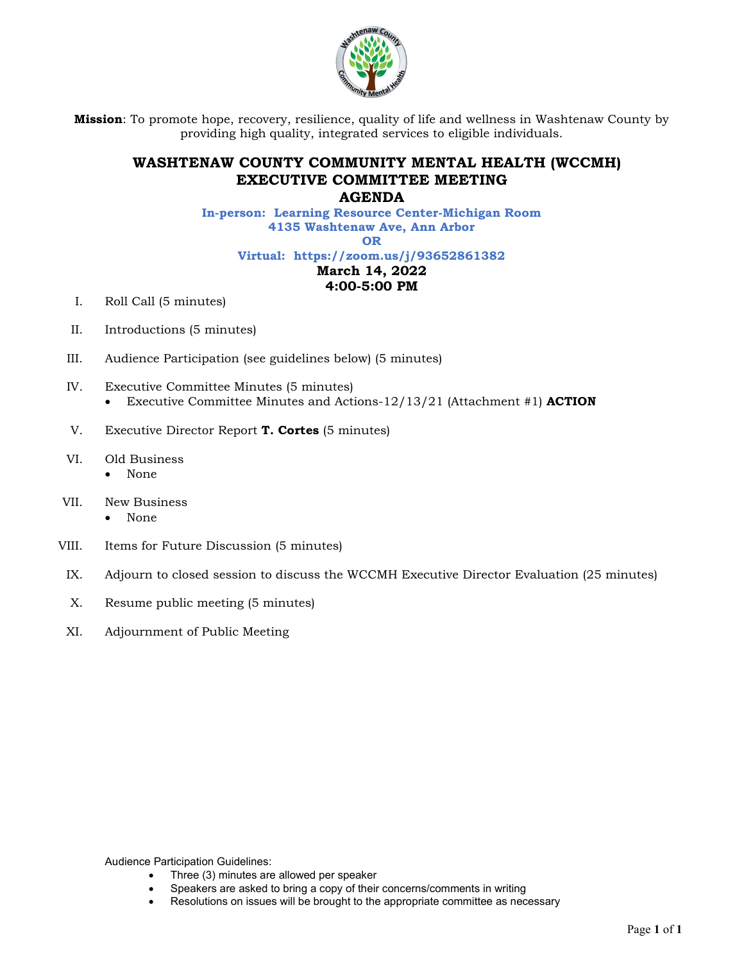

**Mission**: To promote hope, recovery, resilience, quality of life and wellness in Washtenaw County by providing high quality, integrated services to eligible individuals.

## **WASHTENAW COUNTY COMMUNITY MENTAL HEALTH (WCCMH) EXECUTIVE COMMITTEE MEETING**

**AGENDA** 

**In-person: Learning Resource Center-Michigan Room 4135 Washtenaw Ave, Ann Arbor** 

**OR** 

**Virtual: https://zoom.us/j/93652861382** 

## **March 14, 2022**

## **4:00-5:00 PM**

- I. Roll Call (5 minutes)
- II. Introductions (5 minutes)
- III. Audience Participation (see guidelines below) (5 minutes)
- IV. Executive Committee Minutes (5 minutes) Executive Committee Minutes and Actions-12/13/21 (Attachment #1) **ACTION**
- V. Executive Director Report **T. Cortes** (5 minutes)
- VI. Old Business
	- None
- VII. New Business
	- None
- VIII. Items for Future Discussion (5 minutes)
- IX. Adjourn to closed session to discuss the WCCMH Executive Director Evaluation (25 minutes)
- X. Resume public meeting (5 minutes)
- XI. Adjournment of Public Meeting

Audience Participation Guidelines:

- Three (3) minutes are allowed per speaker
- Speakers are asked to bring a copy of their concerns/comments in writing
- Resolutions on issues will be brought to the appropriate committee as necessary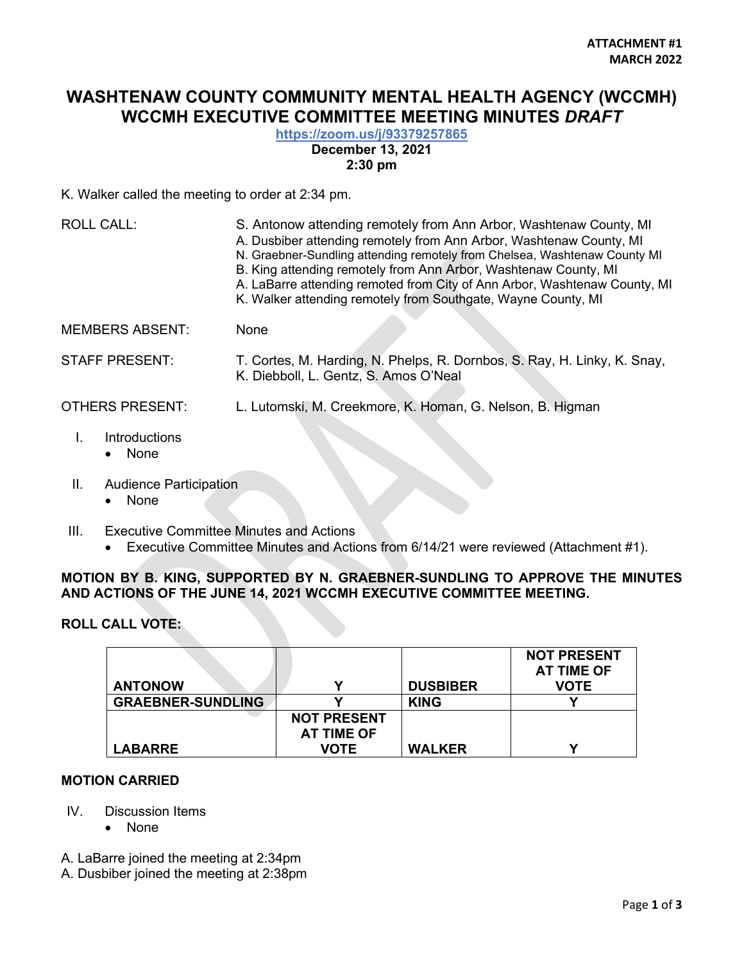# **WASHTENAW COUNTY COMMUNITY MENTAL HEALTH AGENCY (WCCMH) WCCMH EXECUTIVE COMMITTEE MEETING MINUTES** *DRAFT*

## **<https://zoom.us/j/93379257865>**

**December 13, 2021** 

#### **2:30 pm**

K. Walker called the meeting to order at 2:34 pm.

| <b>ROLL CALL:</b>      | S. Antonow attending remotely from Ann Arbor, Washtenaw County, MI<br>A. Dusbiber attending remotely from Ann Arbor, Washtenaw County, MI<br>N. Graebner-Sundling attending remotely from Chelsea, Washtenaw County MI<br>B. King attending remotely from Ann Arbor, Washtenaw County, MI<br>A. LaBarre attending remoted from City of Ann Arbor, Washtenaw County, MI<br>K. Walker attending remotely from Southgate, Wayne County, MI |
|------------------------|-----------------------------------------------------------------------------------------------------------------------------------------------------------------------------------------------------------------------------------------------------------------------------------------------------------------------------------------------------------------------------------------------------------------------------------------|
| <b>MEMBERS ABSENT:</b> | None                                                                                                                                                                                                                                                                                                                                                                                                                                    |
| <b>STAFF PRESENT:</b>  | T. Cortes, M. Harding, N. Phelps, R. Dornbos, S. Ray, H. Linky, K. Snay,<br>K. Diebboll, L. Gentz, S. Amos O'Neal                                                                                                                                                                                                                                                                                                                       |
| <b>OTHERS PRESENT:</b> | L. Lutomski, M. Creekmore, K. Homan, G. Nelson, B. Higman                                                                                                                                                                                                                                                                                                                                                                               |
| Introductions          |                                                                                                                                                                                                                                                                                                                                                                                                                                         |

- None
- II. Audience Participation
	- None
- III. Executive Committee Minutes and Actions
	- Executive Committee Minutes and Actions from 6/14/21 were reviewed (Attachment #1).

## **MOTION BY B. KING, SUPPORTED BY N. GRAEBNER-SUNDLING TO APPROVE THE MINUTES AND ACTIONS OF THE JUNE 14, 2021 WCCMH EXECUTIVE COMMITTEE MEETING.**

## **ROLL CALL VOTE:**

|                          |                    |                 | <b>NOT PRESENT</b><br>AT TIME OF |
|--------------------------|--------------------|-----------------|----------------------------------|
| <b>ANTONOW</b>           |                    | <b>DUSBIBER</b> | VOTE                             |
| <b>GRAEBNER-SUNDLING</b> |                    | <b>KING</b>     |                                  |
|                          | <b>NOT PRESENT</b> |                 |                                  |
|                          | AT TIME OF         |                 |                                  |
| <b>LABARRE</b>           | VOTE               | <b>WALKER</b>   |                                  |

#### **MOTION CARRIED**

- IV. Discussion Items
	- None
- A. LaBarre joined the meeting at 2:34pm
- A. Dusbiber joined the meeting at 2:38pm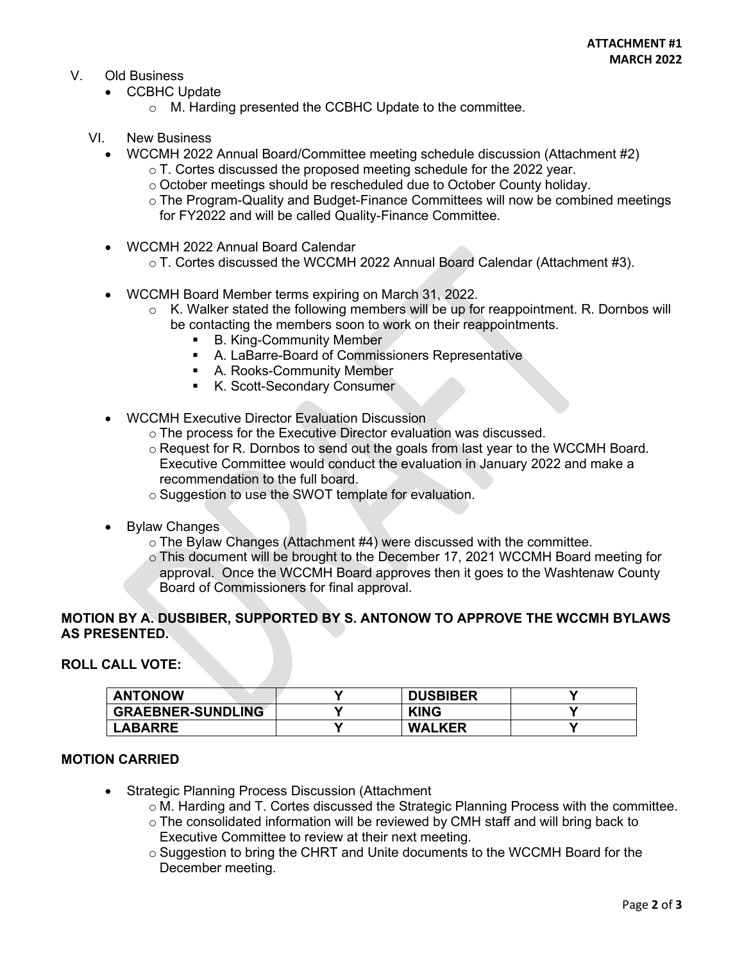### V. Old Business

- CCBHC Update
	- o M. Harding presented the CCBHC Update to the committee.
- VI. New Business
	- WCCMH 2022 Annual Board/Committee meeting schedule discussion (Attachment #2)
		- o T. Cortes discussed the proposed meeting schedule for the 2022 year.
		- o October meetings should be rescheduled due to October County holiday.
		- o The Program-Quality and Budget-Finance Committees will now be combined meetings for FY2022 and will be called Quality-Finance Committee.
	- WCCMH 2022 Annual Board Calendar
		- o T. Cortes discussed the WCCMH 2022 Annual Board Calendar (Attachment #3).
	- WCCMH Board Member terms expiring on March 31, 2022.
		- $\circ$  K. Walker stated the following members will be up for reappointment. R. Dornbos will be contacting the members soon to work on their reappointments.
			- **B. King-Community Member**
			- A. LaBarre-Board of Commissioners Representative
			- A. Rooks-Community Member
			- K. Scott-Secondary Consumer
	- WCCMH Executive Director Evaluation Discussion
		- o The process for the Executive Director evaluation was discussed.
		- $\circ$  Request for R. Dornbos to send out the goals from last year to the WCCMH Board. Executive Committee would conduct the evaluation in January 2022 and make a recommendation to the full board.
		- o Suggestion to use the SWOT template for evaluation.
	- Bylaw Changes
		- o The Bylaw Changes (Attachment #4) were discussed with the committee.
		- o This document will be brought to the December 17, 2021 WCCMH Board meeting for approval. Once the WCCMH Board approves then it goes to the Washtenaw County Board of Commissioners for final approval.

#### **MOTION BY A. DUSBIBER, SUPPORTED BY S. ANTONOW TO APPROVE THE WCCMH BYLAWS AS PRESENTED.**

#### **ROLL CALL VOTE:**

| <b>ANTONOW</b>           | $\checkmark$ | <b>DUSBIBER</b> |  |
|--------------------------|--------------|-----------------|--|
| <b>GRAEBNER-SUNDLING</b> |              | <b>KING</b>     |  |
| <b>LABARRE</b>           |              | <b>WALKER</b>   |  |

#### **MOTION CARRIED**

- Strategic Planning Process Discussion (Attachment
	- o M. Harding and T. Cortes discussed the Strategic Planning Process with the committee.
	- o The consolidated information will be reviewed by CMH staff and will bring back to Executive Committee to review at their next meeting.
	- $\circ$  Suggestion to bring the CHRT and Unite documents to the WCCMH Board for the December meeting.